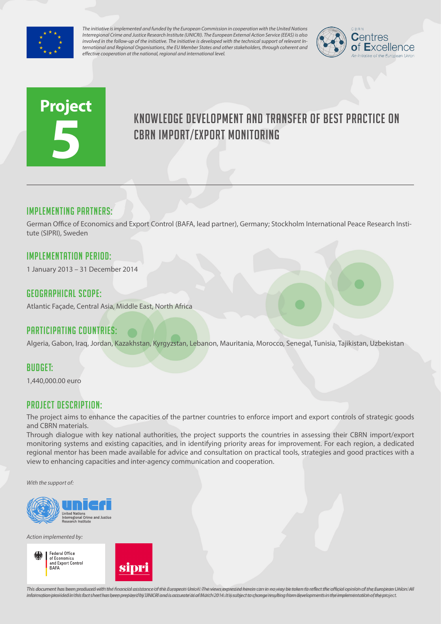

*The initiative is implemented and funded by the European Commission in cooperation with the United Nations Interregional Crime and Justice Research Institute (UNICRI). The European External Action Service (EEAS) is also involved in the follow-up of the initiative. The initiative is developed with the technical support of relevant International and Regional Organisations, the EU Member States and other stakeholders, through coherent and effective cooperation at the national, regional and international level.*



# **Project 5**

# Knowledge development and transfer of best practice on CBRN import/export monitoring

# Implementing partners:

German Office of Economics and Export Control (BAFA, lead partner), Germany; Stockholm International Peace Research Institute (SIPRI), Sweden

# Implementation Period:

1 January 2013 – 31 December 2014

#### Geographical scope:

Atlantic Façade, Central Asia, Middle East, North Africa

# Participating countries:

Algeria, Gabon, Iraq, Jordan, Kazakhstan, Kyrgyzstan, Lebanon, Mauritania, Morocco, Senegal, Tunisia, Tajikistan, Uzbekistan

#### Budget:

1,440,000.00 euro

# Project Description:

The project aims to enhance the capacities of the partner countries to enforce import and export controls of strategic goods and CBRN materials.

Through dialogue with key national authorities, the project supports the countries in assessing their CBRN import/export monitoring systems and existing capacities, and in identifying priority areas for improvement. For each region, a dedicated regional mentor has been made available for advice and consultation on practical tools, strategies and good practices with a view to enhancing capacities and inter-agency communication and cooperation.

*With the support of:*



*Action implemented by:*



This document has been produced with the financial assistance of the European Union. The views expressed herein can in no way be taken to reflect the official opinion of the European Union/All information provided in this fact sheet has been prepared by UNICRI and is accurate as of March 2014s It is subject to change resulting from developments in the implementation of the project.